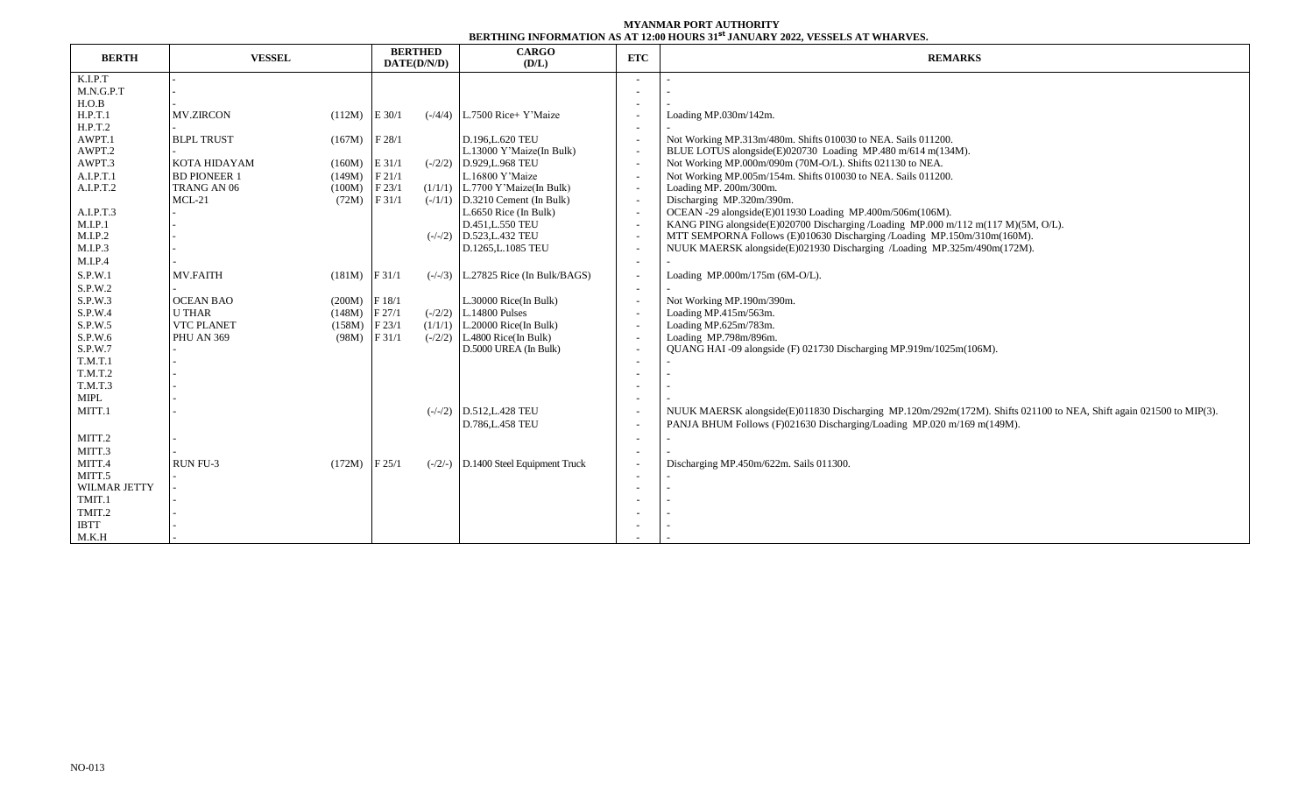## **MYANMAR PORT AUTHORITY BERTHING INFORMATION AS AT 12:00 HOURS 31st JANUARY 2022, VESSELS AT WHARVES.**

|                |                     |                   | <b>BERTHED</b><br>DATE(D/N/D) |  | <b>CARGO</b>                           |                          | DERIIIIITO IITI ORMAILIOITAD AL 1200 IIOORD 91 - 0ATOARI 2022, TEDDEED AL MIRIR LEE<br><b>REMARKS</b>              |  |  |  |  |
|----------------|---------------------|-------------------|-------------------------------|--|----------------------------------------|--------------------------|--------------------------------------------------------------------------------------------------------------------|--|--|--|--|
| <b>BERTH</b>   | <b>VESSEL</b>       | (D/L)             |                               |  | <b>ETC</b>                             |                          |                                                                                                                    |  |  |  |  |
| K.I.P.T        |                     |                   |                               |  |                                        |                          |                                                                                                                    |  |  |  |  |
| M.N.G.P.T      |                     |                   |                               |  |                                        |                          |                                                                                                                    |  |  |  |  |
| H.O.B          |                     |                   |                               |  |                                        |                          |                                                                                                                    |  |  |  |  |
| H.P.T.1        | <b>MV.ZIRCON</b>    | $(112M)$ E 30/1   |                               |  | $(-/4/4)$ L.7500 Rice+ Y'Maize         |                          | Loading MP.030m/142m.                                                                                              |  |  |  |  |
| H.P.T.2        |                     |                   |                               |  |                                        |                          |                                                                                                                    |  |  |  |  |
| AWPT.1         | <b>BLPL TRUST</b>   | $(167M)$ F 28/1   |                               |  | D.196, L.620 TEU                       |                          | Not Working MP.313m/480m. Shifts 010030 to NEA. Sails 011200.                                                      |  |  |  |  |
| AWPT.2         |                     |                   |                               |  | L.13000 Y'Maize(In Bulk)               |                          | BLUE LOTUS alongside(E)020730 Loading MP.480 m/614 m(134M).                                                        |  |  |  |  |
| AWPT.3         | <b>KOTA HIDAYAM</b> | $(160M)$ E 31/1   |                               |  | $(-/2/2)$ D.929, L.968 TEU             |                          | Not Working MP.000m/090m (70M-O/L). Shifts 021130 to NEA.                                                          |  |  |  |  |
| A.I.P.T.1      | <b>BD PIONEER 1</b> | (149M)            | F21/1                         |  | L.16800 Y'Maize                        |                          | Not Working MP.005m/154m. Shifts 010030 to NEA. Sails 011200.                                                      |  |  |  |  |
| A.I.P.T.2      | TRANG AN 06         | (100M)            | F23/1                         |  | $(1/1/1)$ L.7700 Y'Maize(In Bulk)      |                          | Loading MP. 200m/300m.                                                                                             |  |  |  |  |
|                | $MCL-21$            | $(72M)$ F 31/1    |                               |  | $(-/1/1)$ D.3210 Cement (In Bulk)      |                          | Discharging MP.320m/390m.                                                                                          |  |  |  |  |
| A.I.P.T.3      |                     |                   |                               |  | L.6650 Rice (In Bulk)                  |                          | OCEAN -29 alongside(E)011930 Loading MP.400m/506m(106M).                                                           |  |  |  |  |
| M.I.P.1        |                     |                   |                               |  | D.451, L.550 TEU                       |                          | KANG PING alongside(E)020700 Discharging /Loading MP.000 m/112 m(117 M)(5M, O/L).                                  |  |  |  |  |
| M.I.P.2        |                     |                   |                               |  | $(-/-/2)$ D.523, L.432 TEU             |                          | MTT SEMPORNA Follows (E)010630 Discharging /Loading MP.150m/310m(160M).                                            |  |  |  |  |
| M.I.P.3        |                     |                   |                               |  | D.1265, L.1085 TEU                     |                          | NUUK MAERSK alongside(E)021930 Discharging /Loading MP.325m/490m(172M).                                            |  |  |  |  |
| M.I.P.4        |                     |                   |                               |  |                                        |                          |                                                                                                                    |  |  |  |  |
| S.P.W.1        | MV.FAITH            | $(181M)$ F 31/1   |                               |  | $(-/-/3)$ L.27825 Rice (In Bulk/BAGS)  |                          | Loading MP.000m/175m (6M-O/L).                                                                                     |  |  |  |  |
| S.P.W.2        |                     |                   |                               |  |                                        |                          |                                                                                                                    |  |  |  |  |
| S.P.W.3        | <b>OCEAN BAO</b>    | $(200M)$ F 18/1   |                               |  | L.30000 Rice(In Bulk)                  |                          | Not Working MP.190m/390m.                                                                                          |  |  |  |  |
| S.P.W.4        | <b>U THAR</b>       | (148M)            | F27/1                         |  | $(-/2/2)$ L.14800 Pulses               |                          | Loading MP.415m/563m.                                                                                              |  |  |  |  |
| S.P.W.5        | <b>VTC PLANET</b>   | $(158M)$ F 23/1   |                               |  | $(1/1/1)$ L.20000 Rice(In Bulk)        |                          | Loading MP.625m/783m.                                                                                              |  |  |  |  |
| S.P.W.6        | <b>PHU AN 369</b>   | (98M)             | F31/1                         |  | $(-2/2)$ L.4800 Rice(In Bulk)          |                          | Loading MP.798m/896m.                                                                                              |  |  |  |  |
| S.P.W.7        |                     |                   |                               |  | D.5000 UREA (In Bulk)                  |                          | QUANG HAI -09 alongside (F) 021730 Discharging MP.919m/1025m(106M).                                                |  |  |  |  |
| <b>T.M.T.1</b> |                     |                   |                               |  |                                        |                          |                                                                                                                    |  |  |  |  |
| T.M.T.2        |                     |                   |                               |  |                                        |                          |                                                                                                                    |  |  |  |  |
| T.M.T.3        |                     |                   |                               |  |                                        |                          |                                                                                                                    |  |  |  |  |
| MIPL           |                     |                   |                               |  |                                        |                          |                                                                                                                    |  |  |  |  |
| MITT.1         |                     |                   |                               |  | $(-/-/2)$ D.512, L.428 TEU             |                          | NUUK MAERSK alongside(E)011830 Discharging MP.120m/292m(172M). Shifts 021100 to NEA, Shift again 021500 to MIP(3). |  |  |  |  |
|                |                     |                   |                               |  | D.786, L.458 TEU                       |                          | PANJA BHUM Follows (F)021630 Discharging/Loading MP.020 m/169 m(149M).                                             |  |  |  |  |
| MITT.2         |                     |                   |                               |  |                                        | $\overline{\phantom{a}}$ |                                                                                                                    |  |  |  |  |
| MITT.3         |                     |                   |                               |  |                                        |                          |                                                                                                                    |  |  |  |  |
| MITT.4         | RUN FU-3            | $(172M)$ F $25/1$ |                               |  | $(-/2/-)$ D.1400 Steel Equipment Truck |                          | Discharging MP.450m/622m. Sails 011300.                                                                            |  |  |  |  |
| MITT.5         |                     |                   |                               |  |                                        |                          |                                                                                                                    |  |  |  |  |
| WILMAR JETTY   |                     |                   |                               |  |                                        |                          |                                                                                                                    |  |  |  |  |
| TMIT.1         |                     |                   |                               |  |                                        |                          |                                                                                                                    |  |  |  |  |
| TMIT.2         |                     |                   |                               |  |                                        |                          |                                                                                                                    |  |  |  |  |
| <b>IBTT</b>    |                     |                   |                               |  |                                        |                          |                                                                                                                    |  |  |  |  |
| M.K.H          |                     |                   |                               |  |                                        |                          |                                                                                                                    |  |  |  |  |